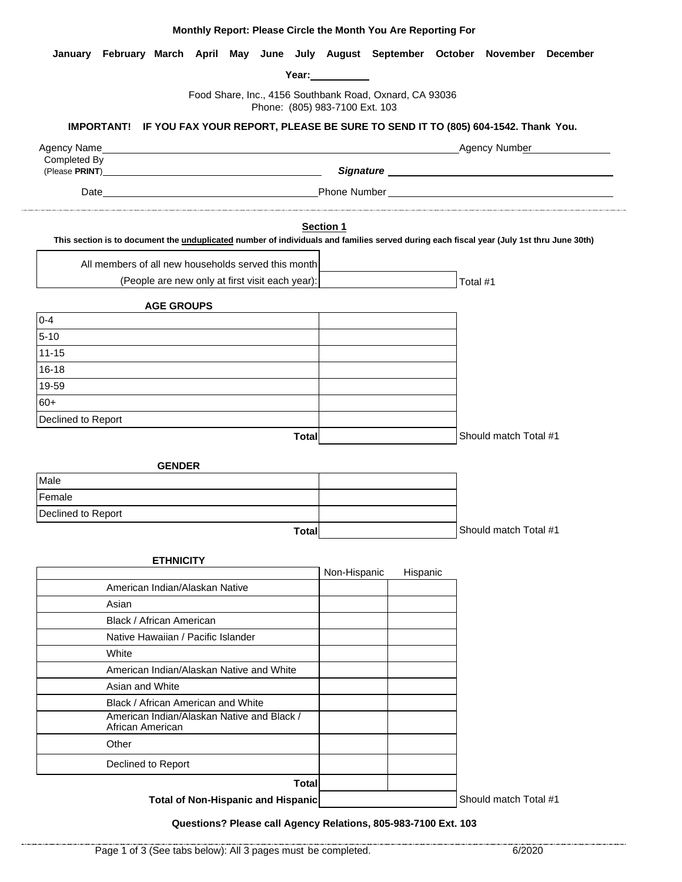| January February March April May June July August September October November December                                                           | Year: The Management of the Second State and Second State and State and Second State and State and State and S |          |                       |
|-------------------------------------------------------------------------------------------------------------------------------------------------|----------------------------------------------------------------------------------------------------------------|----------|-----------------------|
| Food Share, Inc., 4156 Southbank Road, Oxnard, CA 93036                                                                                         |                                                                                                                |          |                       |
| Phone: (805) 983-7100 Ext. 103                                                                                                                  |                                                                                                                |          |                       |
| IMPORTANT! IF YOU FAX YOUR REPORT, PLEASE BE SURE TO SEND IT TO (805) 604-1542. Thank You.                                                      |                                                                                                                |          |                       |
| Completed By                                                                                                                                    |                                                                                                                |          | Agency Number         |
|                                                                                                                                                 |                                                                                                                |          |                       |
| <b>Example 2018 19:30 Phone Number 2018 19:30 Phone Number</b><br>Date                                                                          |                                                                                                                |          |                       |
|                                                                                                                                                 | <b>Section 1</b>                                                                                               |          |                       |
| This section is to document the <i>unduplicated</i> number of individuals and families served during each fiscal year (July 1st thru June 30th) |                                                                                                                |          |                       |
| All members of all new households served this month                                                                                             |                                                                                                                |          |                       |
| (People are new only at first visit each year):                                                                                                 |                                                                                                                |          | Total #1              |
| <b>AGE GROUPS</b>                                                                                                                               |                                                                                                                |          |                       |
| $0 - 4$                                                                                                                                         |                                                                                                                |          |                       |
| $5 - 10$                                                                                                                                        |                                                                                                                |          |                       |
| $11 - 15$                                                                                                                                       |                                                                                                                |          |                       |
| $16 - 18$                                                                                                                                       |                                                                                                                |          |                       |
| 19-59                                                                                                                                           |                                                                                                                |          |                       |
| $60+$                                                                                                                                           |                                                                                                                |          |                       |
| Declined to Report                                                                                                                              |                                                                                                                |          |                       |
| <b>Total</b>                                                                                                                                    |                                                                                                                |          | Should match Total #1 |
| <b>GENDER</b>                                                                                                                                   |                                                                                                                |          |                       |
| Male                                                                                                                                            |                                                                                                                |          |                       |
| Female                                                                                                                                          |                                                                                                                |          |                       |
| Declined to Report                                                                                                                              |                                                                                                                |          |                       |
| <b>Total</b>                                                                                                                                    |                                                                                                                |          | Should match Total #1 |
|                                                                                                                                                 |                                                                                                                |          |                       |
| <b>ETHNICITY</b>                                                                                                                                |                                                                                                                |          |                       |
| American Indian/Alaskan Native                                                                                                                  | Non-Hispanic                                                                                                   | Hispanic |                       |
| Asian                                                                                                                                           |                                                                                                                |          |                       |
| Black / African American                                                                                                                        |                                                                                                                |          |                       |
| Native Hawaiian / Pacific Islander                                                                                                              |                                                                                                                |          |                       |
| White                                                                                                                                           |                                                                                                                |          |                       |
| American Indian/Alaskan Native and White                                                                                                        |                                                                                                                |          |                       |
| Asian and White                                                                                                                                 |                                                                                                                |          |                       |
| Black / African American and White                                                                                                              |                                                                                                                |          |                       |
| American Indian/Alaskan Native and Black /<br>African American                                                                                  |                                                                                                                |          |                       |
| Other                                                                                                                                           |                                                                                                                |          |                       |
| Declined to Report                                                                                                                              |                                                                                                                |          |                       |
| <b>Total</b>                                                                                                                                    |                                                                                                                |          |                       |

**Monthly Report: Please Circle the Month You Are Reporting For**

**Total of Non-Hispanic and Hispanic**

Should match Total #1

#### **Questions? Please call Agency Relations, 805-983-7100 Ext. 103**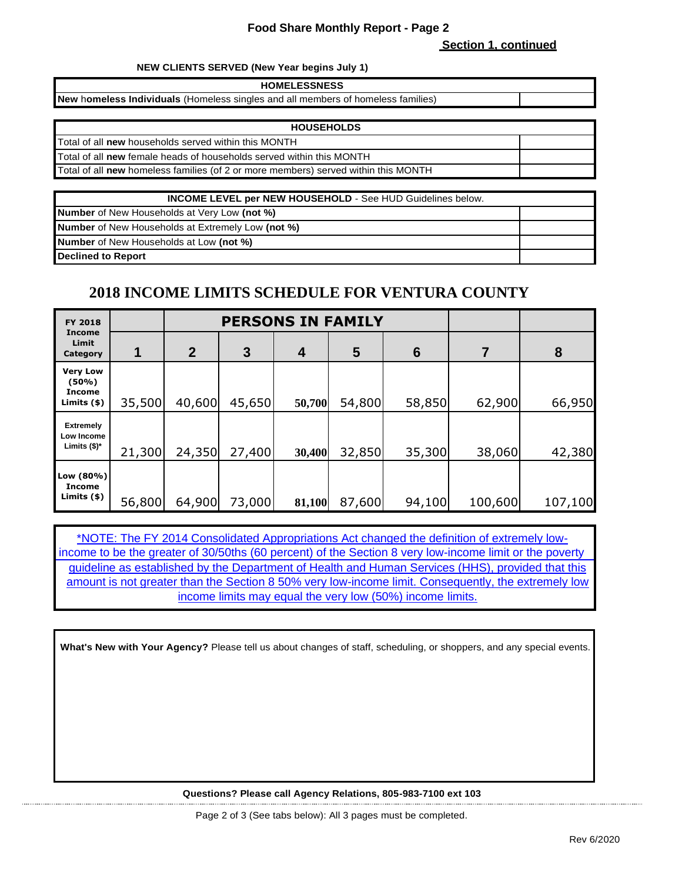#### **Food Share Monthly Report - Page 2**

**Section 1, continued**

#### **NEW CLIENTS SERVED (New Year begins July 1)**

**HOMELESSNESS**

**New** h**omeless Individuals** (Homeless singles and all members of homeless families)

| <b>HOUSEHOLDS</b>                                                                  |  |
|------------------------------------------------------------------------------------|--|
| Total of all new households served within this MONTH                               |  |
| Total of all new female heads of households served within this MONTH               |  |
| Total of all new homeless families (of 2 or more members) served within this MONTH |  |
|                                                                                    |  |

| <b>INCOME LEVEL per NEW HOUSEHOLD - See HUD Guidelines below.</b> |  |  |  |
|-------------------------------------------------------------------|--|--|--|
| <b>Number</b> of New Households at Very Low (not %)               |  |  |  |
| <b>Number</b> of New Households at Extremely Low (not %)          |  |  |  |
| <b>Number</b> of New Households at Low (not %)                    |  |  |  |
| <b>Declined to Report</b>                                         |  |  |  |

## **2018 INCOME LIMITS SCHEDULE FOR VENTURA COUNTY**

| FY 2018                                            |        | <b>PERSONS IN FAMILY</b> |        |        |                 |                 |         |         |
|----------------------------------------------------|--------|--------------------------|--------|--------|-----------------|-----------------|---------|---------|
| Income<br>Limit<br>Category                        |        | $\overline{2}$           | 3      | 4      | $5\phantom{.0}$ | $6\phantom{1}6$ |         | 8       |
| <b>Very Low</b><br>(50%)<br>Income<br>Limits $(*)$ | 35,500 | 40,600                   | 45,650 | 50,700 | 54,800          | 58,850          | 62,900  | 66,950  |
| <b>Extremely</b><br>Low Income<br>Limits $($)^*$   | 21,300 | 24,350                   | 27,400 | 30,400 | 32,850          | 35,300          | 38,060  | 42,380  |
| Low (80%)<br><b>Income</b><br>Limits $(*)$         | 56,800 | 64,900                   | 73,000 | 81,100 | 87,600          | 94,100          | 100,600 | 107,100 |

[\\*NOTE](https://www.federalregister.gov/documents/2018/01/18/2018-00814/annual-update-of-the-hhs-poverty-guidelines): The FY 2014 Consolidated Appropriations Act changed the definition of extremely low[income to b](https://www.federalregister.gov/documents/2018/01/18/2018-00814/annual-update-of-the-hhs-poverty-guidelines)e the greater of 30/50ths (60 percent) of the Section 8 very low-income limit or the poverty [guideline](https://www.federalregister.gov/documents/2018/01/18/2018-00814/annual-update-of-the-hhs-poverty-guidelines) as established by the Department of Health and Human Services (HHS), provided that this [amount is](https://www.federalregister.gov/documents/2018/01/18/2018-00814/annual-update-of-the-hhs-poverty-guidelines) not greater than the Section 8 50% very low-income limit. Consequently, the extremely low income limits may equal the very low (50%) income limits.

**What's New with Your Agency?** Please tell us about changes of staff, scheduling, or shoppers, and any special events.

**Questions? Please call Agency Relations, 805-983-7100 ext 103**

Page 2 of 3 (See tabs below): All 3 pages must be completed.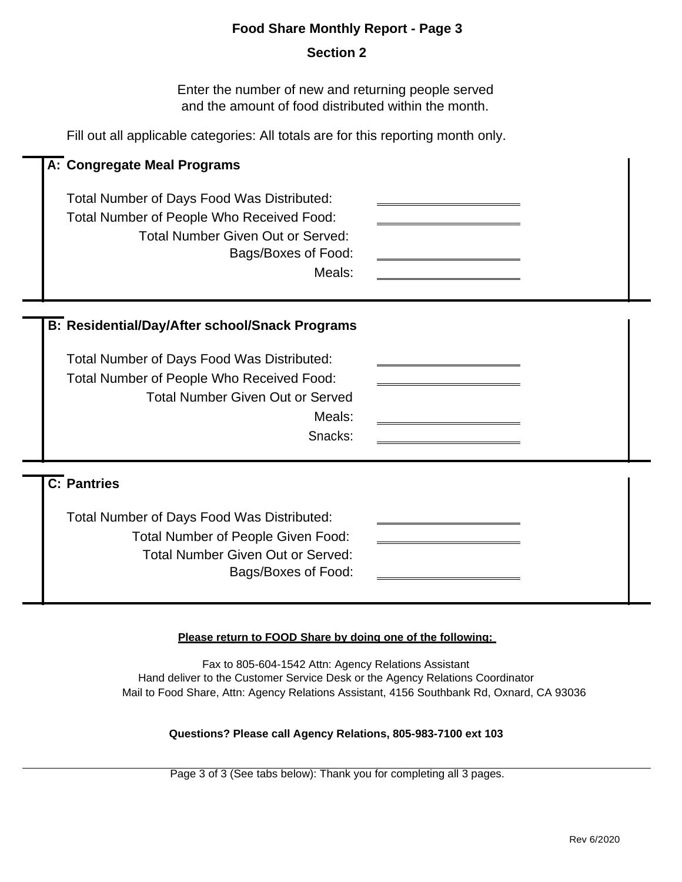## **Food Share Monthly Report - Page 3**

## **Section 2**

Enter the number of new and returning people served and the amount of food distributed within the month.

Fill out all applicable categories: All totals are for this reporting month only.

| A: Congregate Meal Programs                                                                                                                                                                    |  |
|------------------------------------------------------------------------------------------------------------------------------------------------------------------------------------------------|--|
| Total Number of Days Food Was Distributed:<br>Total Number of People Who Received Food:<br><b>Total Number Given Out or Served:</b><br>Bags/Boxes of Food:<br>Meals:                           |  |
| <b>B: Residential/Day/After school/Snack Programs</b>                                                                                                                                          |  |
| Total Number of Days Food Was Distributed:<br>Total Number of People Who Received Food:<br><b>Total Number Given Out or Served</b><br>Meals:<br>Snacks:                                        |  |
| $\overline{C}$ : Pantries<br><b>Total Number of Days Food Was Distributed:</b><br><b>Total Number of People Given Food:</b><br><b>Total Number Given Out or Served:</b><br>Bags/Boxes of Food: |  |

## **Please return to FOOD Share by doing one of the following:**

Fax to 805-604-1542 Attn: Agency Relations Assistant Hand deliver to the Customer Service Desk or the Agency Relations Coordinator Mail to Food Share, Attn: Agency Relations Assistant, 4156 Southbank Rd, Oxnard, CA 93036

#### **Questions? Please call Agency Relations, 805-983-7100 ext 103**

Page 3 of 3 (See tabs below): Thank you for completing all 3 pages.